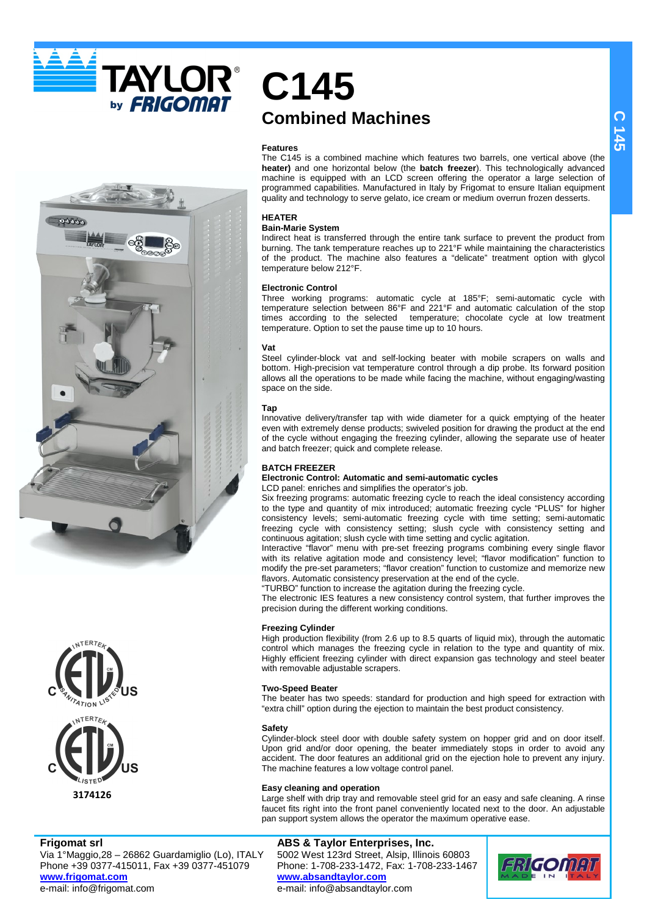**TAYLOR®** by **FRIGOMAT** 





**Frigomat srl**

Via 1°Maggio,28 – 26862 Guardamiglio (Lo), ITALY Phone +39 0377-415011, Fax +39 0377-451079 **www.frigomat.com** e-mail: info@frigomat.com

# **C145 Combined Machines**

# **Features**

The C145 is a combined machine which features two barrels, one vertical above (the **heater)** and one horizontal below (the **batch freezer**). This technologically advanced machine is equipped with an LCD screen offering the operator a large selection of programmed capabilities. Manufactured in Italy by Frigomat to ensure Italian equipment quality and technology to serve gelato, ice cream or medium overrun frozen desserts.

# **HEATER**

# **Bain-Marie System**

Indirect heat is transferred through the entire tank surface to prevent the product from burning. The tank temperature reaches up to 221°F while maintaining the characteristics of the product. The machine also features a "delicate" treatment option with glycol temperature below 212°F.

# **Electronic Control**

Three working programs: automatic cycle at 185°F; semi-automatic cycle with temperature selection between 86°F and 221°F and automatic calculation of the stop times according to the selected temperature; chocolate cycle at low treatment temperature. Option to set the pause time up to 10 hours.

# **Vat**

Steel cylinder-block vat and self-locking beater with mobile scrapers on walls and bottom. High-precision vat temperature control through a dip probe. Its forward position allows all the operations to be made while facing the machine, without engaging/wasting space on the side.

# **Tap**

Innovative delivery/transfer tap with wide diameter for a quick emptying of the heater even with extremely dense products; swiveled position for drawing the product at the end of the cycle without engaging the freezing cylinder, allowing the separate use of heater and batch freezer; quick and complete release.

# **BATCH FREEZER**

#### **Electronic Control: Automatic and semi-automatic cycles**  LCD panel: enriches and simplifies the operator's job.

Six freezing programs: automatic freezing cycle to reach the ideal consistency according to the type and quantity of mix introduced; automatic freezing cycle "PLUS" for higher consistency levels; semi-automatic freezing cycle with time setting; semi-automatic freezing cycle with consistency setting; slush cycle with consistency setting and continuous agitation; slush cycle with time setting and cyclic agitation.

Interactive "flavor" menu with pre-set freezing programs combining every single flavor with its relative agitation mode and consistency level; "flavor modification" function to modify the pre-set parameters; "flavor creation" function to customize and memorize new flavors. Automatic consistency preservation at the end of the cycle.

"TURBO" function to increase the agitation during the freezing cycle. The electronic IES features a new consistency control system, that further improves the precision during the different working conditions.

# **Freezing Cylinder**

High production flexibility (from 2.6 up to 8.5 quarts of liquid mix), through the automatic control which manages the freezing cycle in relation to the type and quantity of mix. Highly efficient freezing cylinder with direct expansion gas technology and steel beater with removable adjustable scrapers.

# **Two-Speed Beater**

The beater has two speeds: standard for production and high speed for extraction with "extra chill" option during the ejection to maintain the best product consistency.

# **Safety**

Cylinder-block steel door with double safety system on hopper grid and on door itself. Upon grid and/or door opening, the beater immediately stops in order to avoid any accident. The door features an additional grid on the ejection hole to prevent any injury. The machine features a low voltage control panel.

# **Easy cleaning and operation**

Large shelf with drip tray and removable steel grid for an easy and safe cleaning. A rinse faucet fits right into the front panel conveniently located next to the door. An adjustable pan support system allows the operator the maximum operative ease.

# **ABS & Taylor Enterprises, Inc.**

5002 West 123rd Street, Alsip, Illinois 60803 Phone: 1-708-233-1472, Fax: 1-708-233-1467 **www.absandtaylor.com** e-mail: info@absandtaylor.com